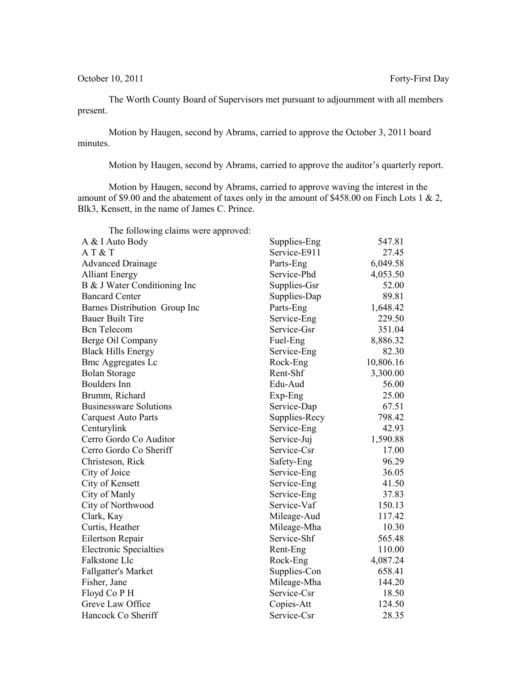October 10, 2011 Forty-First Day

The Worth County Board of Supervisors met pursuant to adjournment with all members present.

Motion by Haugen, second by Abrams, carried to approve the October 3, 2011 board minutes.

Motion by Haugen, second by Abrams, carried to approve the auditor's quarterly report.

Motion by Haugen, second by Abrams, carried to approve waving the interest in the amount of \$9.00 and the abatement of taxes only in the amount of \$458.00 on Finch Lots 1 & 2, Blk3, Kensett, in the name of James C. Prince.

| The following claims were approved: |               |           |
|-------------------------------------|---------------|-----------|
| A & I Auto Body                     | Supplies-Eng  | 547.81    |
| AT&T                                | Service-E911  | 27.45     |
| <b>Advanced Drainage</b>            | Parts-Eng     | 6,049.58  |
| <b>Alliant Energy</b>               | Service-Phd   | 4,053.50  |
| B & J Water Conditioning Inc        | Supplies-Gsr  | 52.00     |
| <b>Bancard Center</b>               | Supplies-Dap  | 89.81     |
| Barnes Distribution Group Inc       | Parts-Eng     | 1,648.42  |
| <b>Bauer Built Tire</b>             | Service-Eng   | 229.50    |
| <b>Bcn</b> Telecom                  | Service-Gsr   | 351.04    |
| Berge Oil Company                   | Fuel-Eng      | 8,886.32  |
| <b>Black Hills Energy</b>           | Service-Eng   | 82.30     |
| <b>Bmc Aggregates Lc</b>            | Rock-Eng      | 10,806.16 |
| <b>Bolan Storage</b>                | Rent-Shf      | 3,300.00  |
| <b>Boulders</b> Inn                 | Edu-Aud       | 56.00     |
| Brumm, Richard                      | Exp-Eng       | 25.00     |
| <b>Businessware Solutions</b>       | Service-Dap   | 67.51     |
| <b>Carquest Auto Parts</b>          | Supplies-Recy | 798.42    |
| Centurylink                         | Service-Eng   | 42.93     |
| Cerro Gordo Co Auditor              | Service-Juj   | 1,590.88  |
| Cerro Gordo Co Sheriff              | Service-Csr   | 17.00     |
| Christeson, Rick                    | Safety-Eng    | 96.29     |
| City of Joice                       | Service-Eng   | 36.05     |
| City of Kensett                     | Service-Eng   | 41.50     |
| City of Manly                       | Service-Eng   | 37.83     |
| City of Northwood                   | Service-Vaf   | 150.13    |
| Clark, Kay                          | Mileage-Aud   | 117.42    |
| Curtis, Heather                     | Mileage-Mha   | 10.30     |
| Eilertson Repair                    | Service-Shf   | 565.48    |
| <b>Electronic Specialties</b>       | Rent-Eng      | 110.00    |
| Falkstone Llc                       | Rock-Eng      | 4,087.24  |
| Fallgatter's Market                 | Supplies-Con  | 658.41    |
| Fisher, Jane                        | Mileage-Mha   | 144.20    |
| Floyd Co P H                        | Service-Csr   | 18.50     |
| Greve Law Office                    | Copies-Att    | 124.50    |
| Hancock Co Sheriff                  | Service-Csr   | 28.35     |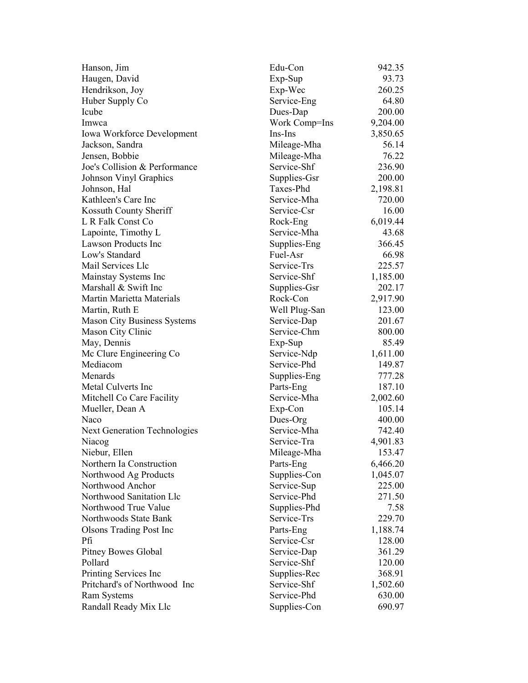| Hanson, Jim                         | Edu-Con       | 942.35   |
|-------------------------------------|---------------|----------|
| Haugen, David                       | Exp-Sup       | 93.73    |
| Hendrikson, Joy                     | Exp-Wec       | 260.25   |
| Huber Supply Co                     | Service-Eng   | 64.80    |
| Icube                               | Dues-Dap      | 200.00   |
| Imwca                               | Work Comp=Ins | 9,204.00 |
| <b>Iowa Workforce Development</b>   | Ins-Ins       | 3,850.65 |
| Jackson, Sandra                     | Mileage-Mha   | 56.14    |
| Jensen, Bobbie                      | Mileage-Mha   | 76.22    |
| Joe's Collision & Performance       | Service-Shf   | 236.90   |
| Johnson Vinyl Graphics              | Supplies-Gsr  | 200.00   |
| Johnson, Hal                        | Taxes-Phd     | 2,198.81 |
| Kathleen's Care Inc                 | Service-Mha   | 720.00   |
| Kossuth County Sheriff              | Service-Csr   | 16.00    |
| L R Falk Const Co                   | Rock-Eng      | 6,019.44 |
| Lapointe, Timothy L                 | Service-Mha   | 43.68    |
| <b>Lawson Products Inc</b>          | Supplies-Eng  | 366.45   |
| Low's Standard                      | Fuel-Asr      | 66.98    |
| Mail Services Llc                   | Service-Trs   | 225.57   |
| Mainstay Systems Inc                | Service-Shf   | 1,185.00 |
| Marshall & Swift Inc                | Supplies-Gsr  | 202.17   |
| Martin Marietta Materials           | Rock-Con      | 2,917.90 |
| Martin, Ruth E                      | Well Plug-San | 123.00   |
| <b>Mason City Business Systems</b>  | Service-Dap   | 201.67   |
| Mason City Clinic                   | Service-Chm   | 800.00   |
| May, Dennis                         | Exp-Sup       | 85.49    |
| Mc Clure Engineering Co             | Service-Ndp   | 1,611.00 |
| Mediacom                            | Service-Phd   | 149.87   |
| Menards                             | Supplies-Eng  | 777.28   |
| Metal Culverts Inc                  | Parts-Eng     | 187.10   |
| Mitchell Co Care Facility           | Service-Mha   | 2,002.60 |
| Mueller, Dean A                     | Exp-Con       | 105.14   |
| Naco                                | Dues-Org      | 400.00   |
|                                     | Service-Mha   | 742.40   |
| <b>Next Generation Technologies</b> | Service-Tra   |          |
| Niacog                              |               | 4,901.83 |
| Niebur, Ellen                       | Mileage-Mha   | 153.47   |
| Northern Ia Construction            | Parts-Eng     | 6,466.20 |
| Northwood Ag Products               | Supplies-Con  | 1,045.07 |
| Northwood Anchor                    | Service-Sup   | 225.00   |
| Northwood Sanitation Llc            | Service-Phd   | 271.50   |
| Northwood True Value                | Supplies-Phd  | 7.58     |
| Northwoods State Bank               | Service-Trs   | 229.70   |
| <b>Olsons Trading Post Inc.</b>     | Parts-Eng     | 1,188.74 |
| Рfі                                 | Service-Csr   | 128.00   |
| <b>Pitney Bowes Global</b>          | Service-Dap   | 361.29   |
| Pollard                             | Service-Shf   | 120.00   |
| Printing Services Inc               | Supplies-Rec  | 368.91   |
| Pritchard's of Northwood Inc        | Service-Shf   | 1,502.60 |
| Ram Systems                         | Service-Phd   | 630.00   |
| Randall Ready Mix Llc               | Supplies-Con  | 690.97   |